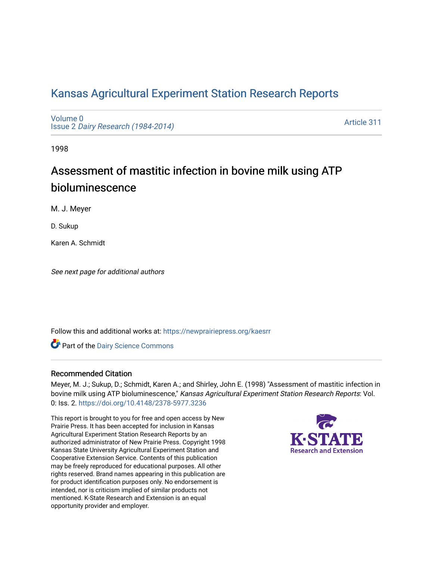# [Kansas Agricultural Experiment Station Research Reports](https://newprairiepress.org/kaesrr)

[Volume 0](https://newprairiepress.org/kaesrr/vol0) Issue 2 [Dairy Research \(1984-2014\)](https://newprairiepress.org/kaesrr/vol0/iss2) 

[Article 311](https://newprairiepress.org/kaesrr/vol0/iss2/311) 

1998

# Assessment of mastitic infection in bovine milk using ATP bioluminescence

M. J. Meyer

D. Sukup

Karen A. Schmidt

See next page for additional authors

Follow this and additional works at: [https://newprairiepress.org/kaesrr](https://newprairiepress.org/kaesrr?utm_source=newprairiepress.org%2Fkaesrr%2Fvol0%2Fiss2%2F311&utm_medium=PDF&utm_campaign=PDFCoverPages) 

Part of the [Dairy Science Commons](http://network.bepress.com/hgg/discipline/79?utm_source=newprairiepress.org%2Fkaesrr%2Fvol0%2Fiss2%2F311&utm_medium=PDF&utm_campaign=PDFCoverPages) 

### Recommended Citation

Meyer, M. J.; Sukup, D.; Schmidt, Karen A.; and Shirley, John E. (1998) "Assessment of mastitic infection in bovine milk using ATP bioluminescence," Kansas Agricultural Experiment Station Research Reports: Vol. 0: Iss. 2.<https://doi.org/10.4148/2378-5977.3236>

This report is brought to you for free and open access by New Prairie Press. It has been accepted for inclusion in Kansas Agricultural Experiment Station Research Reports by an authorized administrator of New Prairie Press. Copyright 1998 Kansas State University Agricultural Experiment Station and Cooperative Extension Service. Contents of this publication may be freely reproduced for educational purposes. All other rights reserved. Brand names appearing in this publication are for product identification purposes only. No endorsement is intended, nor is criticism implied of similar products not mentioned. K-State Research and Extension is an equal opportunity provider and employer.

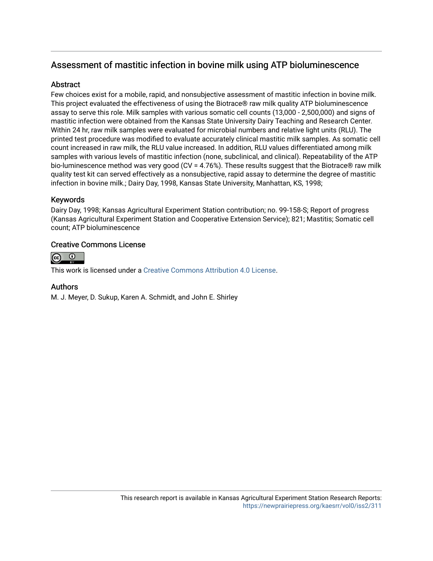# Assessment of mastitic infection in bovine milk using ATP bioluminescence

# Abstract

Few choices exist for a mobile, rapid, and nonsubjective assessment of mastitic infection in bovine milk. This project evaluated the effectiveness of using the Biotrace® raw milk quality ATP bioluminescence assay to serve this role. Milk samples with various somatic cell counts (13,000 - 2,500,000) and signs of mastitic infection were obtained from the Kansas State University Dairy Teaching and Research Center. Within 24 hr, raw milk samples were evaluated for microbial numbers and relative light units (RLU). The printed test procedure was modified to evaluate accurately clinical mastitic milk samples. As somatic cell count increased in raw milk, the RLU value increased. In addition, RLU values differentiated among milk samples with various levels of mastitic infection (none, subclinical, and clinical). Repeatability of the ATP bio-luminescence method was very good (CV = 4.76%). These results suggest that the Biotrace® raw milk quality test kit can served effectively as a nonsubjective, rapid assay to determine the degree of mastitic infection in bovine milk.; Dairy Day, 1998, Kansas State University, Manhattan, KS, 1998;

# Keywords

Dairy Day, 1998; Kansas Agricultural Experiment Station contribution; no. 99-158-S; Report of progress (Kansas Agricultural Experiment Station and Cooperative Extension Service); 821; Mastitis; Somatic cell count; ATP bioluminescence

# Creative Commons License



This work is licensed under a [Creative Commons Attribution 4.0 License](https://creativecommons.org/licenses/by/4.0/).

## Authors

M. J. Meyer, D. Sukup, Karen A. Schmidt, and John E. Shirley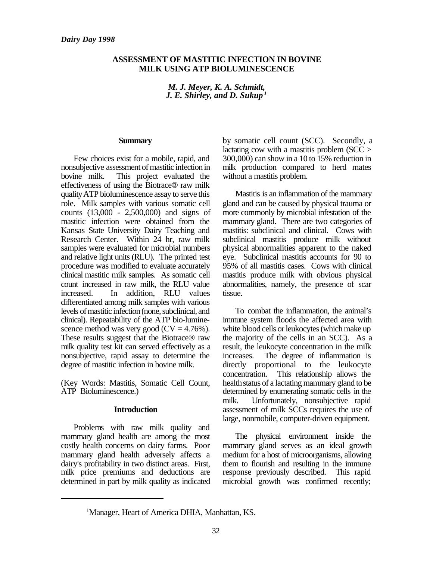## **ASSESSMENT OF MASTITIC INFECTION IN BOVINE MILK USING ATP BIOLUMINESCENCE**

*M. J. Meyer, K. A. Schmidt, J. E. Shirley, and D. Sukup <sup>1</sup>*

#### **Summary**

Few choices exist for a mobile, rapid, and nonsubjective assessment of mastitic infection in bovine milk. This project evaluated the effectiveness of using the Biotrace® raw milk quality ATP bioluminescence assay to serve this role. Milk samples with various somatic cell counts (13,000 - 2,500,000) and signs of mastitic infection were obtained from the Kansas State University Dairy Teaching and Research Center. Within 24 hr, raw milk samples were evaluated for microbial numbers and relative light units (RLU). The printed test procedure was modified to evaluate accurately clinical mastitic milk samples. As somatic cell count increased in raw milk, the RLU value increased. In addition, RLU values differentiated among milk samples with various levels of mastitic infection (none, subclinical, and clinical). Repeatability of the ATP bio-luminescence method was very good ( $CV = 4.76\%$ ). These results suggest that the Biotrace® raw milk quality test kit can served effectively as a nonsubjective, rapid assay to determine the degree of mastitic infection in bovine milk.

(Key Words: Mastitis, Somatic Cell Count, ATP Bioluminescence.)

### **Introduction**

Problems with raw milk quality and mammary gland health are among the most costly health concerns on dairy farms. Poor mammary gland health adversely affects a dairy's profitability in two distinct areas. First, milk price premiums and deductions are determined in part by milk quality as indicated by somatic cell count (SCC). Secondly, a lactating cow with a mastitis problem (SCC > 300,000) can show in a 10 to 15% reduction in milk production compared to herd mates without a mastitis problem.

Mastitis is an inflammation of the mammary gland and can be caused by physical trauma or more commonly by microbial infestation of the mammary gland. There are two categories of mastitis: subclinical and clinical. Cows with subclinical mastitis produce milk without physical abnormalities apparent to the naked eye. Subclinical mastitis accounts for 90 to 95% of all mastitis cases. Cows with clinical mastitis produce milk with obvious physical abnormalities, namely, the presence of scar tissue.

To combat the inflammation, the animal's immune system floods the affected area with white blood cells or leukocytes (which make up the majority of the cells in an SCC). As a result, the leukocyte concentration in the milk increases. The degree of inflammation is directly proportional to the leukocyte concentration. This relationship allows the health status of a lactating mammary gland to be determined by enumerating somatic cells in the milk. Unfortunately, nonsubjective rapid assessment of milk SCCs requires the use of large, nonmobile, computer-driven equipment.

The physical environment inside the mammary gland serves as an ideal growth medium for a host of microorganisms, allowing them to flourish and resulting in the immune response previously described. This rapid microbial growth was confirmed recently;

<sup>&</sup>lt;sup>1</sup>Manager, Heart of America DHIA, Manhattan, KS.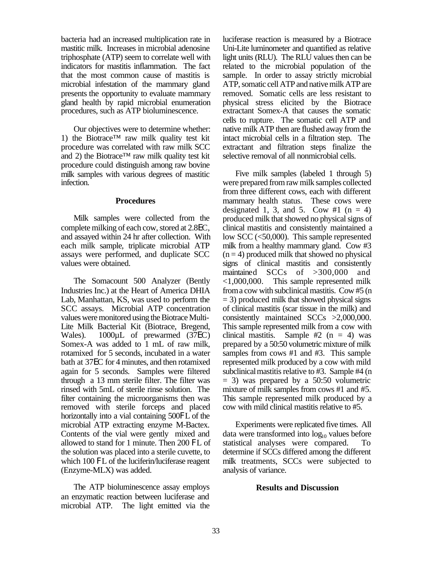bacteria had an increased multiplication rate in mastitic milk. Increases in microbial adenosine triphosphate (ATP) seem to correlate well with indicators for mastitis inflammation. The fact that the most common cause of mastitis is microbial infestation of the mammary gland presents the opportunity to evaluate mammary gland health by rapid microbial enumeration procedures, such as ATP bioluminescence.

Our objectives were to determine whether: 1) the Biotrace™ raw milk quality test kit procedure was correlated with raw milk SCC and 2) the Biotrace<sup>TM</sup> raw milk quality test kit procedure could distinguish among raw bovine milk samples with various degrees of mastitic infection.

#### **Procedures**

Milk samples were collected from the complete milking of each cow, stored at 2.8EC, and assayed within 24 hr after collection. With each milk sample, triplicate microbial ATP assays were performed, and duplicate SCC values were obtained.

The Somacount 500 Analyzer (Bently Industries Inc.) at the Heart of America DHIA Lab, Manhattan, KS, was used to perform the SCC assays. Microbial ATP concentration values were monitored using the Biotrace Multi-Lite Milk Bacterial Kit (Biotrace, Bregend, Wales). 1000µL of prewarmed (37EC) Somex-A was added to 1 mL of raw milk, rotamixed for 5 seconds, incubated in a water bath at 37EC for 4 minutes, and then rotamixed again for 5 seconds. Samples were filtered through a 13 mm sterile filter. The filter was rinsed with 5mL of sterile rinse solution. The filter containing the microorganisms then was removed with sterile forceps and placed horizontally into a vial containing 500FL of the microbial ATP extracting enzyme M-Bactex. Contents of the vial were gently mixed and allowed to stand for 1 minute. Then 200 FL of the solution was placed into a sterile cuvette, to which 100 FL of the luciferin/luciferase reagent (Enzyme-MLX) was added.

The ATP bioluminescence assay employs an enzymatic reaction between luciferase and microbial ATP. The light emitted via the luciferase reaction is measured by a Biotrace Uni-Lite luminometer and quantified as relative light units (RLU). The RLU values then can be related to the microbial population of the sample. In order to assay strictly microbial ATP, somatic cell ATP and native milk ATP are removed. Somatic cells are less resistant to physical stress elicited by the Biotrace extractant Somex-A that causes the somatic cells to rupture. The somatic cell ATP and native milk ATP then are flushed away from the intact microbial cells in a filtration step. The extractant and filtration steps finalize the selective removal of all nonmicrobial cells.

Five milk samples (labeled 1 through 5) were prepared from raw milk samples collected from three different cows, each with different mammary health status. These cows were designated 1, 3, and 5. Cow #1  $(n = 4)$ produced milk that showed no physical signs of clinical mastitis and consistently maintained a low SCC (<50,000). This sample represented milk from a healthy mammary gland. Cow #3  $(n = 4)$  produced milk that showed no physical signs of clinical mastitis and consistently maintained SCCs of >300,000 and <1,000,000. This sample represented milk from a cow with subclinical mastitis. Cow #5 (n  $=$  3) produced milk that showed physical signs of clinical mastitis (scar tissue in the milk) and consistently maintained SCCs >2,000,000. This sample represented milk from a cow with clinical mastitis. Sample #2  $(n = 4)$  was prepared by a 50:50 volumetric mixture of milk samples from cows #1 and #3. This sample represented milk produced by a cow with mild subclinical mastitis relative to #3. Sample #4 (n  $= 3$ ) was prepared by a 50:50 volumetric mixture of milk samples from cows #1 and #5. This sample represented milk produced by a cow with mild clinical mastitis relative to #5.

Experiments were replicated five times. All data were transformed into  $log_{10}$  values before statistical analyses were compared. To determine if SCCs differed among the different milk treatments, SCCs were subjected to analysis of variance.

### **Results and Discussion**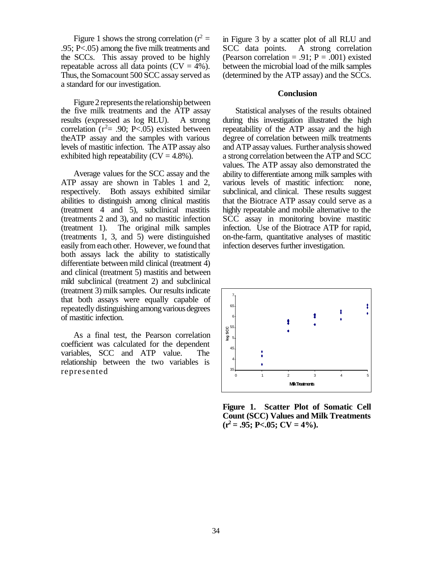Figure 1 shows the strong correlation ( $r^2 =$ .95; P<.05) among the five milk treatments and the SCCs. This assay proved to be highly repeatable across all data points  $(CV = 4\%)$ . Thus, the Somacount 500 SCC assay served as a standard for our investigation.

Figure 2 represents the relationship between the five milk treatments and the ATP assay results (expressed as log RLU). A strong correlation  $(r^2= .90; P< .05)$  existed between theATP assay and the samples with various levels of mastitic infection. The ATP assay also exhibited high repeatability  $(CV = 4.8\%)$ .

Average values for the SCC assay and the ATP assay are shown in Tables 1 and 2, respectively. Both assays exhibited similar abilities to distinguish among clinical mastitis (treatment 4 and 5), subclinical mastitis (treatments 2 and 3), and no mastitic infection (treatment 1). The original milk samples (treatments 1, 3, and 5) were distinguished easily from each other. However, we found that both assays lack the ability to statistically differentiate between mild clinical (treatment 4) and clinical (treatment 5) mastitis and between mild subclinical (treatment 2) and subclinical (treatment 3) milk samples. Our results indicate that both assays were equally capable of repeatedly distinguishing among various degrees of mastitic infection.

As a final test, the Pearson correlation coefficient was calculated for the dependent variables, SCC and ATP value. The relationship between the two variables is represented

in Figure 3 by a scatter plot of all RLU and SCC data points. A strong correlation (Pearson correlation = .91;  $P = .001$ ) existed between the microbial load of the milk samples (determined by the ATP assay) and the SCCs.

#### **Conclusion**

Statistical analyses of the results obtained during this investigation illustrated the high repeatability of the ATP assay and the high degree of correlation between milk treatments and ATP assay values. Further analysis showed a strong correlation between the ATP and SCC values. The ATP assay also demonstrated the ability to differentiate among milk samples with various levels of mastitic infection: none, subclinical, and clinical. These results suggest that the Biotrace ATP assay could serve as a highly repeatable and mobile alternative to the SCC assay in monitoring bovine mastitic infection. Use of the Biotrace ATP for rapid, on-the-farm, quantitative analyses of mastitic infection deserves further investigation.



**Figure 1. Scatter Plot of Somatic Cell Count (SCC) Values and Milk Treatments**  $(r^2 = .95; P < .05; CV = 4\%).$